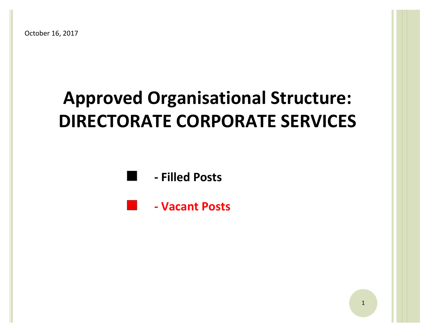# **Approved Organisational Structure: Approved Organisational Structure: DIRECTORATE CORPORATE SERVICES DIRECTORATE CORPORATE SERVICES**



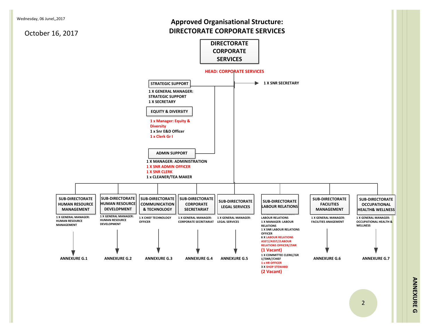### **Approved Organisational Structure: DIRECTORATE CORPORATE SERVICES**

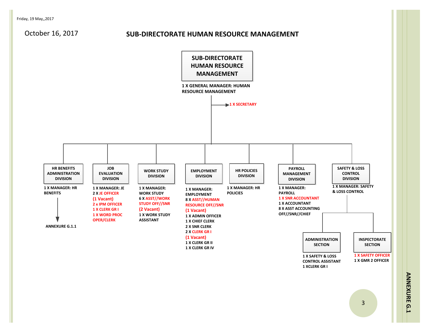#### **SUB-DIRECTORATE HUMAN RESOURCE MANAGEMENT**



**A N NEX U RE G.1**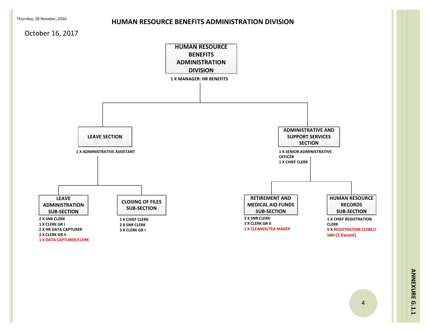#### **HUMAN RESOURCE BENEFITS ADMINISTRATION DIVISION**

#### October 16, 2017

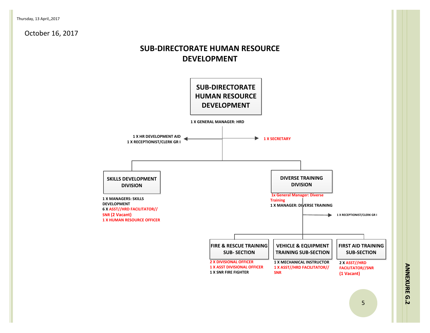# **SUB-DIRECTORATE HUMAN RESOURCE DEVELOPMENT**



**A N NEX U RE G.2**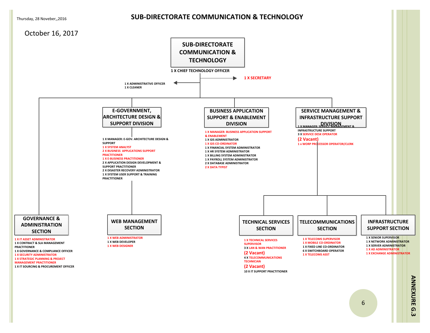#### **SUB-DIRECTORATE COMMUNICATION & TECHNOLOGY**



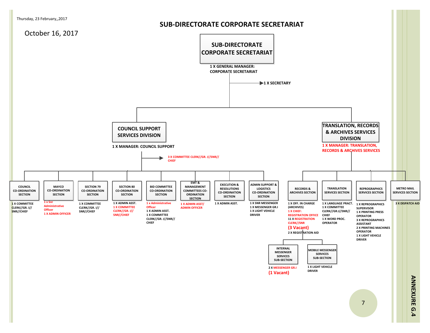#### **SUB-DIRECTORATE CORPORATE SECRETARIAT**

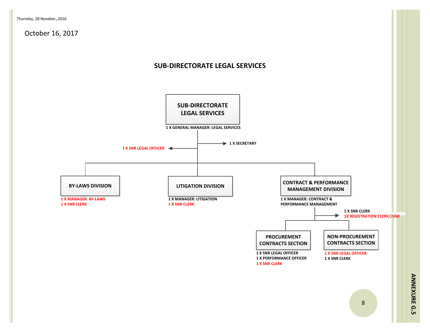#### **SUB-DIRECTORATE LEGAL SERVICES**



**A N**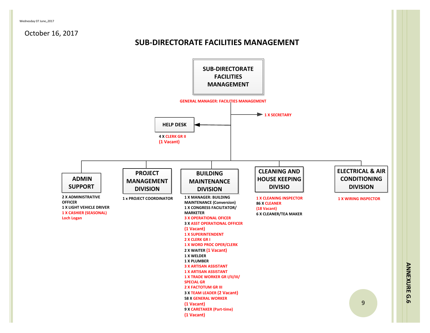# Wednesday 07 June,,2017<br> **SUB-DIRECTORATE FACILITIES MANAGEMENT**